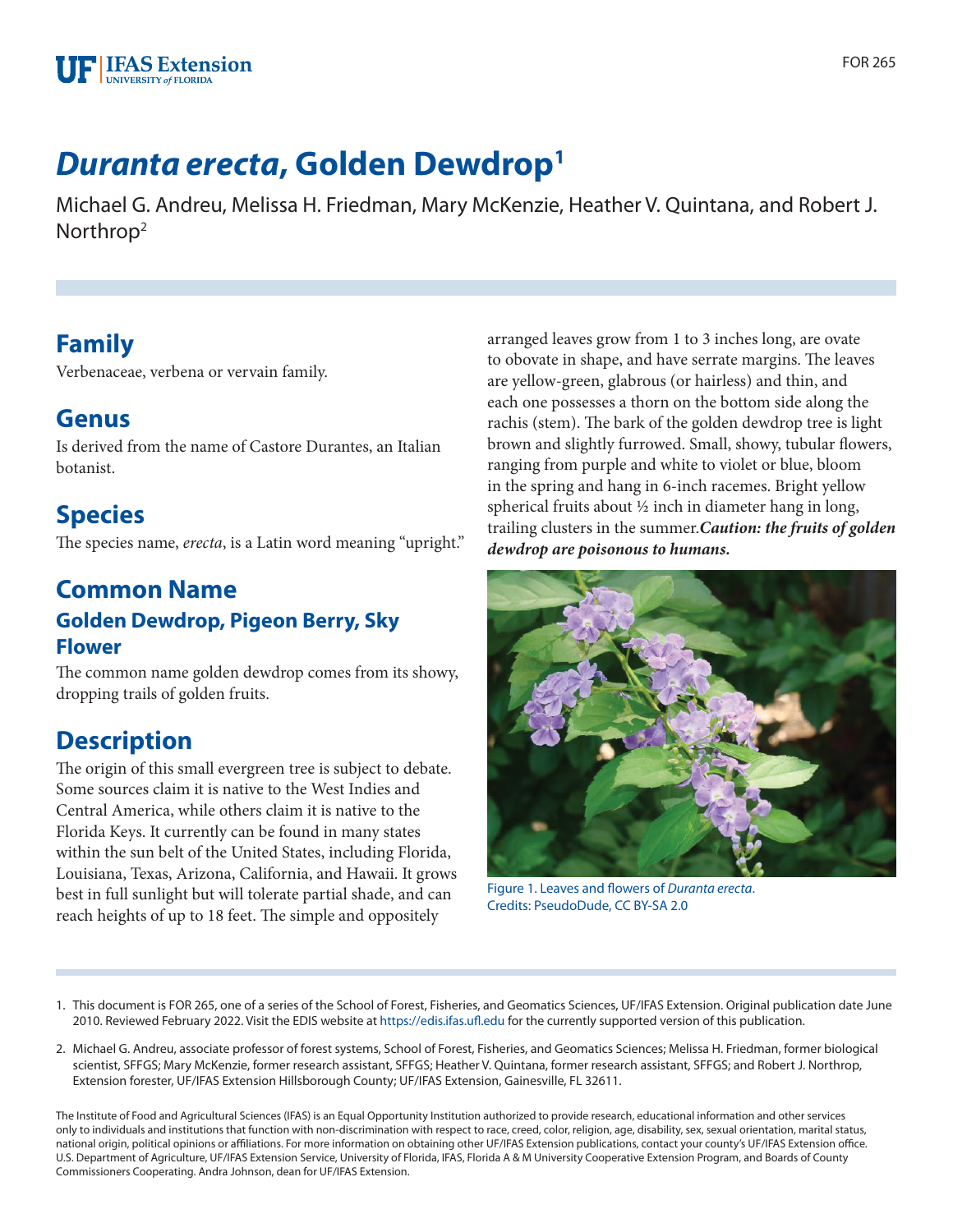

# *Duranta erecta***, Golden Dewdrop1**

Michael G. Andreu, Melissa H. Friedman, Mary McKenzie, Heather V. Quintana, and Robert J. Northrop2

### **Family**

Verbenaceae, verbena or vervain family.

### **Genus**

Is derived from the name of Castore Durantes, an Italian botanist.

## **Species**

The species name, *erecta*, is a Latin word meaning "upright."

#### **Common Name Golden Dewdrop, Pigeon Berry, Sky Flower**

The common name golden dewdrop comes from its showy, dropping trails of golden fruits.

### **Description**

The origin of this small evergreen tree is subject to debate. Some sources claim it is native to the West Indies and Central America, while others claim it is native to the Florida Keys. It currently can be found in many states within the sun belt of the United States, including Florida, Louisiana, Texas, Arizona, California, and Hawaii. It grows best in full sunlight but will tolerate partial shade, and can reach heights of up to 18 feet. The simple and oppositely

arranged leaves grow from 1 to 3 inches long, are ovate to obovate in shape, and have serrate margins. The leaves are yellow-green, glabrous (or hairless) and thin, and each one possesses a thorn on the bottom side along the rachis (stem). The bark of the golden dewdrop tree is light brown and slightly furrowed. Small, showy, tubular flowers, ranging from purple and white to violet or blue, bloom in the spring and hang in 6-inch racemes. Bright yellow spherical fruits about ½ inch in diameter hang in long, trailing clusters in the summer.*Caution: the fruits of golden dewdrop are poisonous to humans.*



Figure 1. Leaves and flowers of *Duranta erecta*. Credits: PseudoDude, CC BY-SA 2.0

- 1. This document is FOR 265, one of a series of the School of Forest, Fisheries, and Geomatics Sciences, UF/IFAS Extension. Original publication date June 2010. Reviewed February 2022. Visit the EDIS website at<https://edis.ifas.ufl.edu>for the currently supported version of this publication.
- 2. Michael G. Andreu, associate professor of forest systems, School of Forest, Fisheries, and Geomatics Sciences; Melissa H. Friedman, former biological scientist, SFFGS; Mary McKenzie, former research assistant, SFFGS; Heather V. Quintana, former research assistant, SFFGS; and Robert J. Northrop, Extension forester, UF/IFAS Extension Hillsborough County; UF/IFAS Extension, Gainesville, FL 32611.

The Institute of Food and Agricultural Sciences (IFAS) is an Equal Opportunity Institution authorized to provide research, educational information and other services only to individuals and institutions that function with non-discrimination with respect to race, creed, color, religion, age, disability, sex, sexual orientation, marital status, national origin, political opinions or affiliations. For more information on obtaining other UF/IFAS Extension publications, contact your county's UF/IFAS Extension office. U.S. Department of Agriculture, UF/IFAS Extension Service, University of Florida, IFAS, Florida A & M University Cooperative Extension Program, and Boards of County Commissioners Cooperating. Andra Johnson, dean for UF/IFAS Extension.